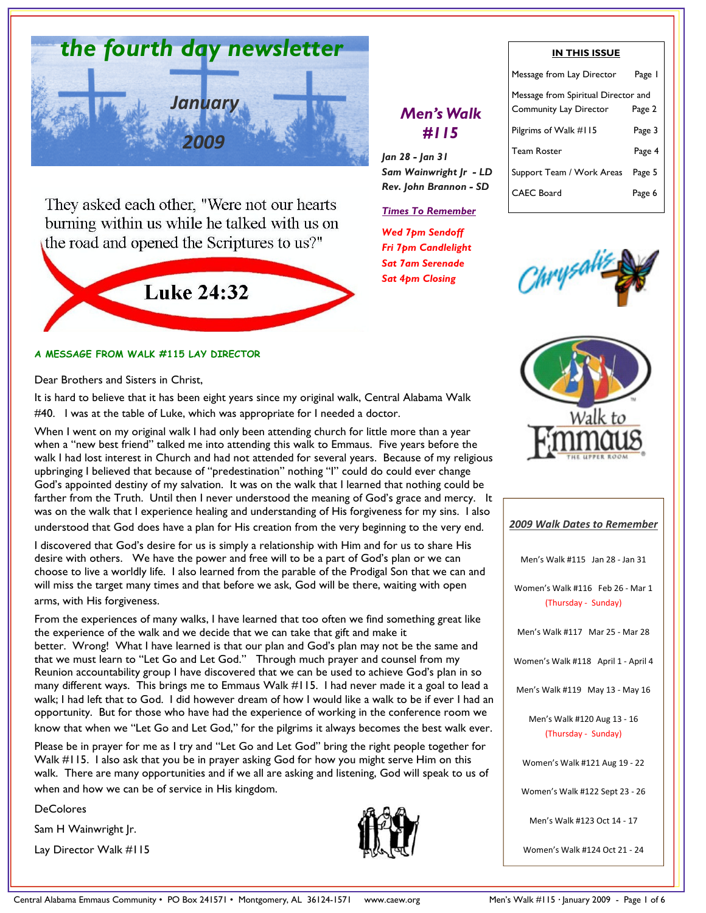

They asked each other, "Were not our hearts burning within us while he talked with us on the road and opened the Scriptures to us?"



### A MESSAGE FROM WALK #115 LAY DIRECTOR

Dear Brothers and Sisters in Christ,

It is hard to believe that it has been eight years since my original walk, Central Alabama Walk #40. I was at the table of Luke, which was appropriate for I needed a doctor.

When I went on my original walk I had only been attending church for little more than a year when a "new best friend" talked me into attending this walk to Emmaus. Five years before the walk I had lost interest in Church and had not attended for several years. Because of my religious upbringing I believed that because of "predestination" nothing "I" could do could ever change God's appointed destiny of my salvation. It was on the walk that I learned that nothing could be farther from the Truth. Until then I never understood the meaning of God's grace and mercy. It was on the walk that I experience healing and understanding of His forgiveness for my sins. I also understood that God does have a plan for His creation from the very beginning to the very end.

I discovered that God's desire for us is simply a relationship with Him and for us to share His desire with others. We have the power and free will to be a part of God's plan or we can choose to live a worldly life. I also learned from the parable of the Prodigal Son that we can and will miss the target many times and that before we ask, God will be there, waiting with open arms, with His forgiveness.

From the experiences of many walks, I have learned that too often we find something great like the experience of the walk and we decide that we can take that gift and make it better. Wrong! What I have learned is that our plan and God's plan may not be the same and that we must learn to "Let Go and Let God." Through much prayer and counsel from my Reunion accountability group I have discovered that we can be used to achieve God's plan in so many different ways. This brings me to Emmaus Walk #115. I had never made it a goal to lead a walk; I had left that to God. I did however dream of how I would like a walk to be if ever I had an opportunity. But for those who have had the experience of working in the conference room we know that when we "Let Go and Let God," for the pilgrims it always becomes the best walk ever.

Please be in prayer for me as I try and "Let Go and Let God" bring the right people together for Walk #115. I also ask that you be in prayer asking God for how you might serve Him on this walk. There are many opportunities and if we all are asking and listening, God will speak to us of when and how we can be of service in His kingdom.

DeColores

Sam H Wainwright Jr.

Lay Director Walk #115



#### IN THIS ISSUE

# Men's Walk #115

Jan 28 - Jan 31 Sam Wainwright Jr - LD Rev. John Brannon - SD

#### Times To Remember

Wed 7pm Sendoff Fri 7pm Candlelight Sat 7am Serenade Sat 4pm Closing

| Message from Lay Director                                     | Page I |
|---------------------------------------------------------------|--------|
| Message from Spiritual Director and<br>Community Lay Director | Page 2 |
| Pilgrims of Walk #115                                         | Page 3 |
| <b>Team Roster</b>                                            | Page 4 |
| Support Team / Work Areas                                     | Page 5 |
| CAEC Board                                                    | Page 6 |





| <b>2009 Walk Dates to Remember</b>                      |
|---------------------------------------------------------|
| Men's Walk #115 Jan 28 - Jan 31                         |
| Women's Walk #116 Feb 26 - Mar 1<br>(Thursday - Sunday) |
| Men's Walk #117 Mar 25 - Mar 28                         |
| Women's Walk #118 April 1 - April 4                     |
| Men's Walk #119 May 13 - May 16                         |
| Men's Walk #120 Aug 13 - 16<br>(Thursday - Sunday)      |
| Women's Walk #121 Aug 19 - 22                           |
| Women's Walk #122 Sept 23 - 26                          |
| Men's Walk #123 Oct 14 - 17                             |
| Women's Walk #124 Oct 21 - 24                           |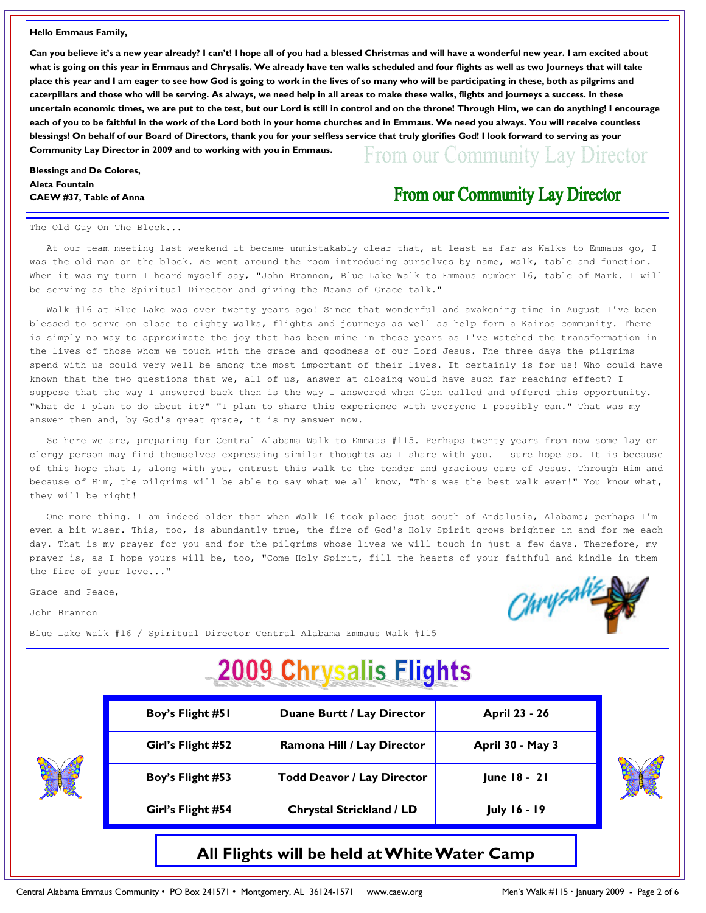#### Hello Emmaus Family,

Can you believe it's a new year already? I can't! I hope all of you had a blessed Christmas and will have a wonderful new year. I am excited about what is going on this year in Emmaus and Chrysalis. We already have ten walks scheduled and four flights as well as two Journeys that will take place this year and I am eager to see how God is going to work in the lives of so many who will be participating in these, both as pilgrims and caterpillars and those who will be serving. As always, we need help in all areas to make these walks, flights and journeys a success. In these uncertain economic times, we are put to the test, but our Lord is still in control and on the throne! Through Him, we can do anything! I encourage each of you to be faithful in the work of the Lord both in your home churches and in Emmaus. We need you always. You will receive countless blessings! On behalf of our Board of Directors, thank you for your selfless service that truly glorifies God! I look forward to serving as your Community Lay Director in 2009 and to working with you in Emmaus. From our Community Lay Director

#### Blessings and De Colores, Aleta Fountain CAEW #37, Table of Anna

# From our Community Lay Director

#### The Old Guy On The Block...

 At our team meeting last weekend it became unmistakably clear that, at least as far as Walks to Emmaus go, I was the old man on the block. We went around the room introducing ourselves by name, walk, table and function. When it was my turn I heard myself say, "John Brannon, Blue Lake Walk to Emmaus number 16, table of Mark. I will be serving as the Spiritual Director and giving the Means of Grace talk."

 Walk #16 at Blue Lake was over twenty years ago! Since that wonderful and awakening time in August I've been blessed to serve on close to eighty walks, flights and journeys as well as help form a Kairos community. There is simply no way to approximate the joy that has been mine in these years as I've watched the transformation in the lives of those whom we touch with the grace and goodness of our Lord Jesus. The three days the pilgrims spend with us could very well be among the most important of their lives. It certainly is for us! Who could have known that the two questions that we, all of us, answer at closing would have such far reaching effect? I suppose that the way I answered back then is the way I answered when Glen called and offered this opportunity. "What do I plan to do about it?" "I plan to share this experience with everyone I possibly can." That was my answer then and, by God's great grace, it is my answer now.

 So here we are, preparing for Central Alabama Walk to Emmaus #115. Perhaps twenty years from now some lay or clergy person may find themselves expressing similar thoughts as I share with you. I sure hope so. It is because of this hope that I, along with you, entrust this walk to the tender and gracious care of Jesus. Through Him and because of Him, the pilgrims will be able to say what we all know, "This was the best walk ever!" You know what, they will be right!

 One more thing. I am indeed older than when Walk 16 took place just south of Andalusia, Alabama; perhaps I'm even a bit wiser. This, too, is abundantly true, the fire of God's Holy Spirit grows brighter in and for me each day. That is my prayer for you and for the pilgrims whose lives we will touch in just a few days. Therefore, my prayer is, as I hope yours will be, too, "Come Holy Spirit, fill the hearts of your faithful and kindle in them the fire of your love..."

Grace and Peace,

John Brannon

Blue Lake Walk #16 / Spiritual Director Central Alabama Emmaus Walk #115

# **2009 Chrysalis Flights**

| Boy's Flight #51  | Duane Burtt / Lay Director                   | April 23 - 26       |  |
|-------------------|----------------------------------------------|---------------------|--|
| Girl's Flight #52 | Ramona Hill / Lay Director                   | April 30 - May 3    |  |
| Boy's Flight #53  | <b>Todd Deavor / Lay Director</b>            | June 18 - 21        |  |
| Girl's Flight #54 | <b>Chrystal Strickland / LD</b>              | <b>July 16 - 19</b> |  |
|                   | All Flights will be held at White Water Camp |                     |  |

Chrysal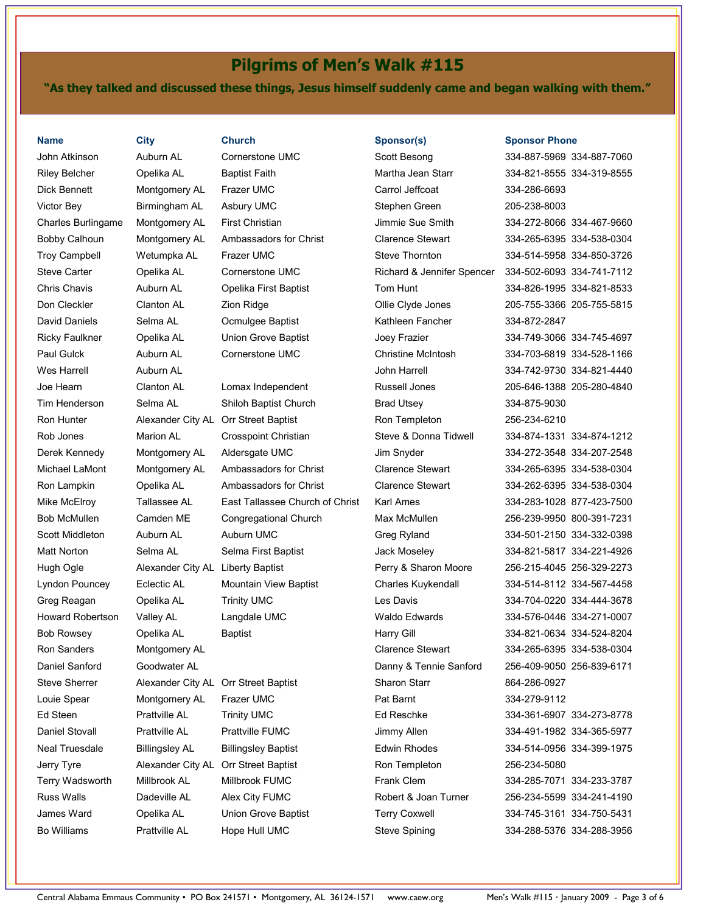# Pilgrims of Men's Walk #115

"As they talked and discussed these things, Jesus himself suddenly came and began walking with them."

Steve Sherrer Alexander City AL Orr Street Baptist Jerry Tyre Alexander City AL Orr Street Baptist Bo Williams Prattville AL Hope Hull UMC Steve Spining 334-288-5376 334-288-3956

| <b>Name</b>             | <b>City</b>                       | <b>Church</b>                        | Sponsor(s)                 | <b>Sponsor Phone</b>      |
|-------------------------|-----------------------------------|--------------------------------------|----------------------------|---------------------------|
| John Atkinson           | Auburn AL                         | <b>Cornerstone UMC</b>               | Scott Besong               | 334-887-5969 334-887-7060 |
| <b>Riley Belcher</b>    | Opelika AL                        | <b>Baptist Faith</b>                 | Martha Jean Starr          | 334-821-8555 334-319-8555 |
| Dick Bennett            | Montgomery AL                     | Frazer UMC                           | Carrol Jeffcoat            | 334-286-6693              |
| Victor Bey              | Birmingham AL                     | Asbury UMC                           | Stephen Green              | 205-238-8003              |
| Charles Burlingame      | Montgomery AL                     | <b>First Christian</b>               | Jimmie Sue Smith           | 334-272-8066 334-467-9660 |
| <b>Bobby Calhoun</b>    | Montgomery AL                     | Ambassadors for Christ               | <b>Clarence Stewart</b>    | 334-265-6395 334-538-0304 |
| <b>Troy Campbell</b>    | Wetumpka AL                       | Frazer UMC                           | <b>Steve Thornton</b>      | 334-514-5958 334-850-3726 |
| <b>Steve Carter</b>     | Opelika AL                        | Cornerstone UMC                      | Richard & Jennifer Spencer | 334-502-6093 334-741-7112 |
| <b>Chris Chavis</b>     | Auburn AL                         | Opelika First Baptist                | Tom Hunt                   | 334-826-1995 334-821-8533 |
| Don Cleckler            | <b>Clanton AL</b>                 | Zion Ridge                           | Ollie Clyde Jones          | 205-755-3366 205-755-5815 |
| David Daniels           | Selma AL                          | Ocmulgee Baptist                     | Kathleen Fancher           | 334-872-2847              |
| <b>Ricky Faulkner</b>   | Opelika AL                        | Union Grove Baptist                  | Joey Frazier               | 334-749-3066 334-745-4697 |
| Paul Gulck              | Auburn AL                         | <b>Cornerstone UMC</b>               | <b>Christine McIntosh</b>  | 334-703-6819 334-528-1166 |
| <b>Wes Harrell</b>      | Auburn AL                         |                                      | John Harrell               | 334-742-9730 334-821-4440 |
| Joe Hearn               | Clanton AL                        | Lomax Independent                    | Russell Jones              | 205-646-1388 205-280-4840 |
| Tim Henderson           | Selma AL                          | Shiloh Baptist Church                | <b>Brad Utsey</b>          | 334-875-9030              |
| Ron Hunter              |                                   | Alexander City AL Orr Street Baptist | Ron Templeton              | 256-234-6210              |
| Rob Jones               | <b>Marion AL</b>                  | <b>Crosspoint Christian</b>          | Steve & Donna Tidwell      | 334-874-1331 334-874-1212 |
| Derek Kennedy           | Montgomery AL                     | Aldersgate UMC                       | Jim Snyder                 | 334-272-3548 334-207-2548 |
| Michael LaMont          | Montgomery AL                     | Ambassadors for Christ               | <b>Clarence Stewart</b>    | 334-265-6395 334-538-0304 |
| Ron Lampkin             | Opelika AL                        | Ambassadors for Christ               | <b>Clarence Stewart</b>    | 334-262-6395 334-538-0304 |
| Mike McElroy            | Tallassee AL                      | East Tallassee Church of Christ      | Karl Ames                  | 334-283-1028 877-423-7500 |
| <b>Bob McMullen</b>     | Camden ME                         | Congregational Church                | Max McMullen               | 256-239-9950 800-391-7231 |
| <b>Scott Middleton</b>  | Auburn AL                         | Auburn UMC                           | Greg Ryland                | 334-501-2150 334-332-0398 |
| <b>Matt Norton</b>      | Selma AL                          | Selma First Baptist                  | Jack Moseley               | 334-821-5817 334-221-4926 |
| Hugh Ogle               | Alexander City AL Liberty Baptist |                                      | Perry & Sharon Moore       | 256-215-4045 256-329-2273 |
| Lyndon Pouncey          | Eclectic AL                       | <b>Mountain View Baptist</b>         | Charles Kuykendall         | 334-514-8112 334-567-4458 |
| Greg Reagan             | Opelika AL                        | <b>Trinity UMC</b>                   | Les Davis                  | 334-704-0220 334-444-3678 |
| <b>Howard Robertson</b> | Valley AL                         | Langdale UMC                         | <b>Waldo Edwards</b>       | 334-576-0446 334-271-0007 |
| <b>Bob Rowsey</b>       | Opelika AL                        | <b>Baptist</b>                       | Harry Gill                 | 334-821-0634 334-524-8204 |
| Ron Sanders             | Montgomery AL                     |                                      | <b>Clarence Stewart</b>    | 334-265-6395 334-538-0304 |
| Daniel Sanford          | Goodwater AL                      |                                      | Danny & Tennie Sanford     | 256-409-9050 256-839-6171 |
| <b>Steve Sherrer</b>    |                                   | Alexander City AL Orr Street Baptist | Sharon Starr               | 864-286-0927              |
| Louie Spear             | Montgomery AL                     | Frazer UMC                           | Pat Barnt                  | 334-279-9112              |
| Ed Steen                | <b>Prattville AL</b>              | <b>Trinity UMC</b>                   | Ed Reschke                 | 334-361-6907 334-273-8778 |
| Daniel Stovall          | <b>Prattville AL</b>              | <b>Prattville FUMC</b>               | Jimmy Allen                | 334-491-1982 334-365-5977 |
| Neal Truesdale          | <b>Billingsley AL</b>             | <b>Billingsley Baptist</b>           | <b>Edwin Rhodes</b>        | 334-514-0956 334-399-1975 |
| Jerry Tyre              |                                   | Alexander City AL Orr Street Baptist | Ron Templeton              | 256-234-5080              |
| <b>Terry Wadsworth</b>  | Millbrook AL                      | Millbrook FUMC                       | Frank Clem                 | 334-285-7071 334-233-3787 |
| <b>Russ Walls</b>       | Dadeville AL                      | Alex City FUMC                       | Robert & Joan Turner       | 256-234-5599 334-241-4190 |
| James Ward              | Opelika AL                        | Union Grove Baptist                  | <b>Terry Coxwell</b>       | 334-745-3161 334-750-5431 |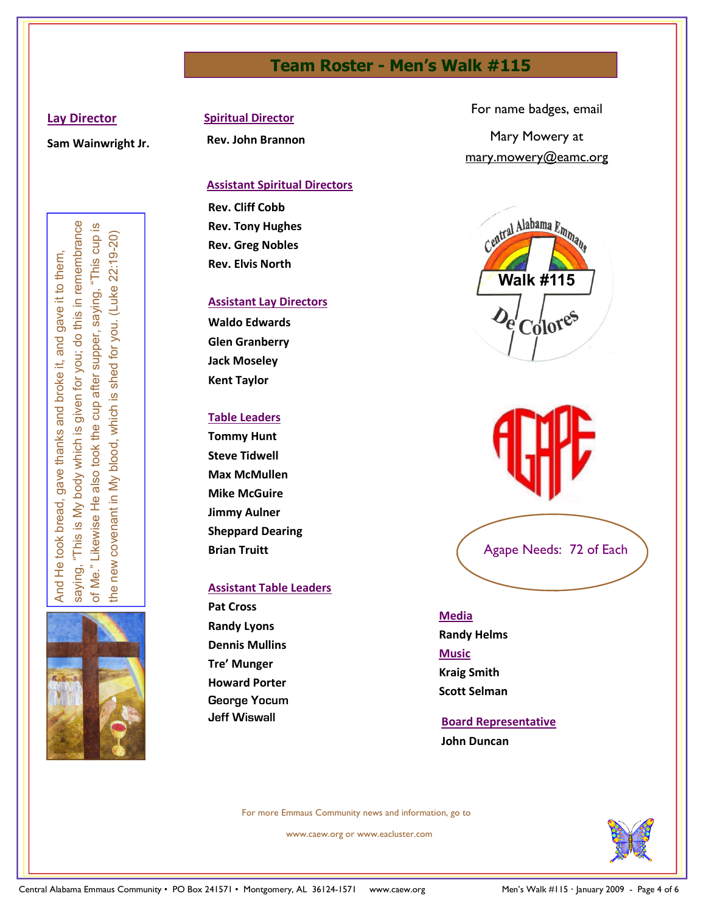# Team Roster - Men's Walk #115

## Lay Director

Sam Wainwright Jr.

Spiritual Director

Rev. John Brannon

# Assistant Spiritual Directors

Rev. Cliff Cobb Rev. Tony Hughes Rev. Greg Nobles Rev. Elvis North

## Assistant Lay Directors

Waldo Edwards Glen Granberry Jack Moseley Kent Taylor

# Table Leaders

Tommy Hunt Steve Tidwell Max McMullen Mike McGuire Jimmy Aulner Sheppard Dearing Brian Truitt

# Assistant Table Leaders

Pat Cross Randy Lyons Dennis Mullins Tre' Munger Howard Porter George Yocum Jeff Wiswall

For name badges, email Mary Mowery at mary.mowery@eamc.org







# Media

Randy Helms Music Kraig Smith Scott Selman

# Board Representative John Duncan

For more Emmaus Community news and information, go to

www.caew.org or www.eacluster.com

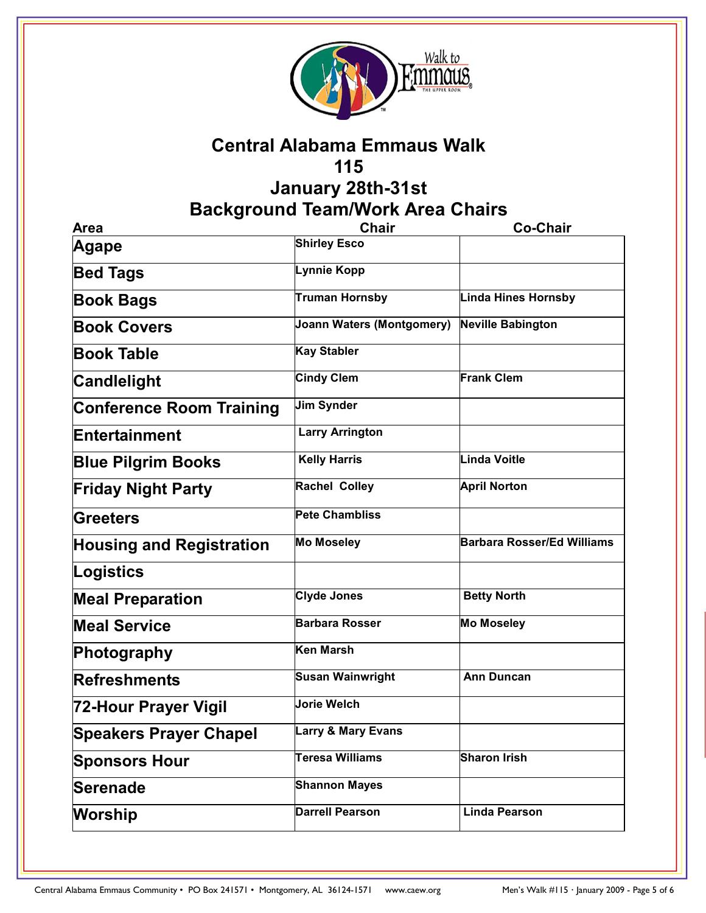

# Central Alabama Emmaus Walk 115

# January 28th-31st Background Team/Work Area Chairs

| Area                            | <b>Chair</b>                     | <b>Co-Chair</b>                   |
|---------------------------------|----------------------------------|-----------------------------------|
| Agape                           | <b>Shirley Esco</b>              |                                   |
| <b>Bed Tags</b>                 | Lynnie Kopp                      |                                   |
| <b>Book Bags</b>                | Truman Hornsby                   | <b>Linda Hines Hornsby</b>        |
| <b>Book Covers</b>              | <b>Joann Waters (Montgomery)</b> | <b>Neville Babington</b>          |
| <b>Book Table</b>               | <b>Kay Stabler</b>               |                                   |
| <b>Candlelight</b>              | <b>Cindy Clem</b>                | <b>Frank Clem</b>                 |
| <b>Conference Room Training</b> | Jim Synder                       |                                   |
| Entertainment                   | <b>Larry Arrington</b>           |                                   |
| <b>Blue Pilgrim Books</b>       | <b>Kelly Harris</b>              | Linda Voitle                      |
| <b>Friday Night Party</b>       | <b>Rachel Colley</b>             | <b>April Norton</b>               |
| Greeters                        | <b>Pete Chambliss</b>            |                                   |
| <b>Housing and Registration</b> | <b>Mo Moseley</b>                | <b>Barbara Rosser/Ed Williams</b> |
| Logistics                       |                                  |                                   |
| <b>Meal Preparation</b>         | <b>Clyde Jones</b>               | <b>Betty North</b>                |
| <b>Meal Service</b>             | <b>Barbara Rosser</b>            | <b>Mo Moseley</b>                 |
| Photography                     | Ken Marsh                        |                                   |
| <b>Refreshments</b>             | <b>Susan Wainwright</b>          | <b>Ann Duncan</b>                 |
| 72-Hour Prayer Vigil            | Jorie Welch                      |                                   |
| <b>Speakers Prayer Chapel</b>   | <b>Larry &amp; Mary Evans</b>    |                                   |
| <b>Sponsors Hour</b>            | <b>Teresa Williams</b>           | <b>Sharon Irish</b>               |
| Serenade                        | <b>Shannon Mayes</b>             |                                   |
| <b>Worship</b>                  | <b>Darrell Pearson</b>           | <b>Linda Pearson</b>              |
|                                 |                                  |                                   |